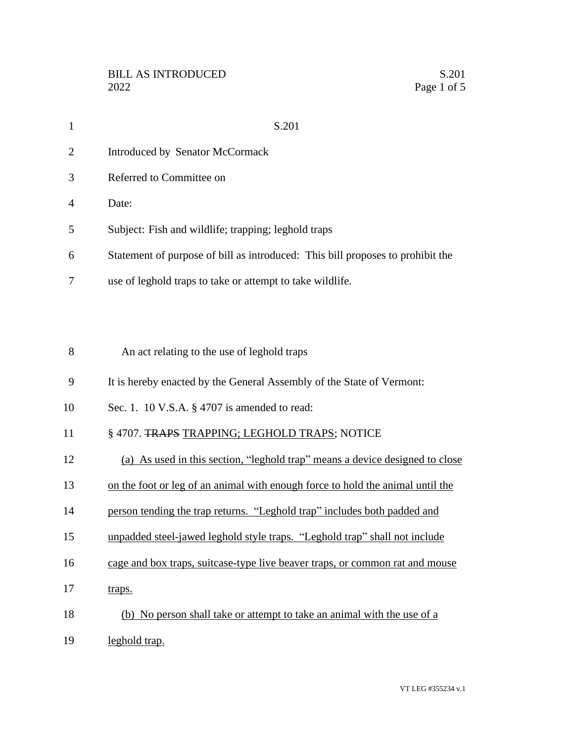| $\mathbf{1}$   | S.201                                                                          |
|----------------|--------------------------------------------------------------------------------|
| $\overline{2}$ | Introduced by Senator McCormack                                                |
| 3              | Referred to Committee on                                                       |
| $\overline{4}$ | Date:                                                                          |
| 5              | Subject: Fish and wildlife; trapping; leghold traps                            |
| 6              | Statement of purpose of bill as introduced: This bill proposes to prohibit the |
| 7              | use of leghold traps to take or attempt to take wildlife.                      |
|                |                                                                                |
|                |                                                                                |
| 8              | An act relating to the use of leghold traps                                    |

It is hereby enacted by the General Assembly of the State of Vermont:

Sec. 1. 10 V.S.A. § 4707 is amended to read:

## 11 § 4707. TRAPS TRAPPING; LEGHOLD TRAPS; NOTICE

- (a) As used in this section, "leghold trap" means a device designed to close
- on the foot or leg of an animal with enough force to hold the animal until the
- person tending the trap returns. "Leghold trap" includes both padded and
- unpadded steel-jawed leghold style traps. "Leghold trap" shall not include
- cage and box traps, suitcase-type live beaver traps, or common rat and mouse
- 17 traps.
- (b) No person shall take or attempt to take an animal with the use of a
- leghold trap.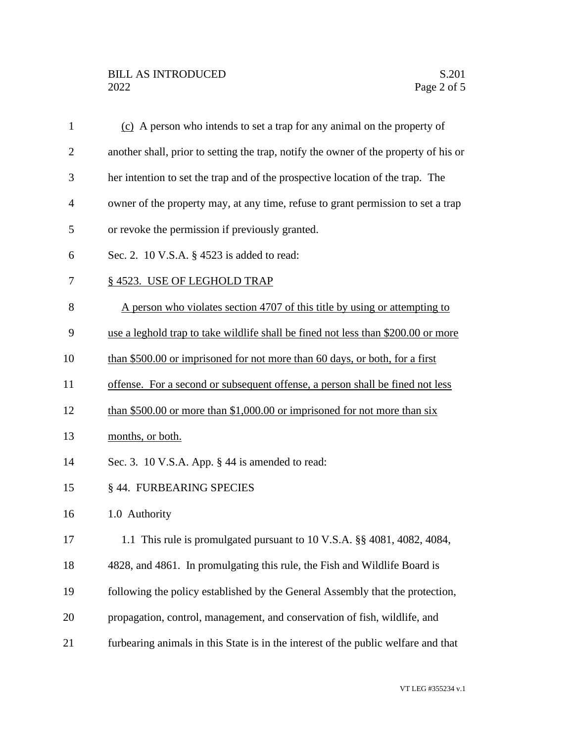| $\mathbf{1}$   | (c) A person who intends to set a trap for any animal on the property of             |
|----------------|--------------------------------------------------------------------------------------|
| $\overline{2}$ | another shall, prior to setting the trap, notify the owner of the property of his or |
| 3              | her intention to set the trap and of the prospective location of the trap. The       |
| $\overline{4}$ | owner of the property may, at any time, refuse to grant permission to set a trap     |
| 5              | or revoke the permission if previously granted.                                      |
| 6              | Sec. 2. 10 V.S.A. § 4523 is added to read:                                           |
| 7              | §4523. USE OF LEGHOLD TRAP                                                           |
| 8              | A person who violates section 4707 of this title by using or attempting to           |
| 9              | use a leghold trap to take wildlife shall be fined not less than \$200.00 or more    |
| 10             | than \$500.00 or imprisoned for not more than 60 days, or both, for a first          |
| 11             | offense. For a second or subsequent offense, a person shall be fined not less        |
| 12             | than \$500.00 or more than \$1,000.00 or imprisoned for not more than $six$          |
| 13             | months, or both.                                                                     |
| 14             | Sec. 3. 10 V.S.A. App. § 44 is amended to read:                                      |
| 15             | § 44. FURBEARING SPECIES                                                             |
| 16             | 1.0 Authority                                                                        |
| 17             | 1.1 This rule is promulgated pursuant to 10 V.S.A. §§ 4081, 4082, 4084,              |
| 18             | 4828, and 4861. In promulgating this rule, the Fish and Wildlife Board is            |
| 19             | following the policy established by the General Assembly that the protection,        |
| 20             | propagation, control, management, and conservation of fish, wildlife, and            |
| 21             | furbearing animals in this State is in the interest of the public welfare and that   |
|                |                                                                                      |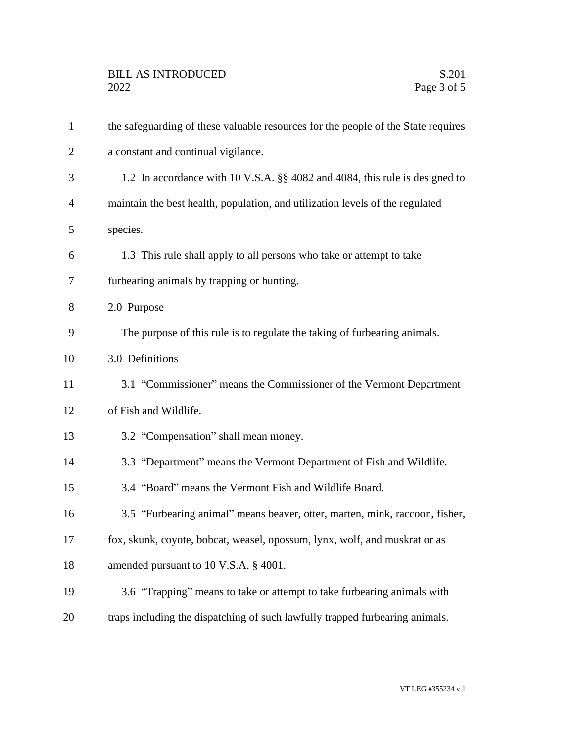| $\mathbf{1}$   | the safeguarding of these valuable resources for the people of the State requires |
|----------------|-----------------------------------------------------------------------------------|
| $\overline{2}$ | a constant and continual vigilance.                                               |
| 3              | 1.2 In accordance with 10 V.S.A. §§ 4082 and 4084, this rule is designed to       |
| 4              | maintain the best health, population, and utilization levels of the regulated     |
| 5              | species.                                                                          |
| 6              | 1.3 This rule shall apply to all persons who take or attempt to take              |
| 7              | furbearing animals by trapping or hunting.                                        |
| 8              | 2.0 Purpose                                                                       |
| 9              | The purpose of this rule is to regulate the taking of furbearing animals.         |
| 10             | 3.0 Definitions                                                                   |
| 11             | 3.1 "Commissioner" means the Commissioner of the Vermont Department               |
| 12             | of Fish and Wildlife.                                                             |
| 13             | 3.2 "Compensation" shall mean money.                                              |
| 14             | 3.3 "Department" means the Vermont Department of Fish and Wildlife.               |
| 15             | 3.4 "Board" means the Vermont Fish and Wildlife Board.                            |
| 16             | 3.5 "Furbearing animal" means beaver, otter, marten, mink, raccoon, fisher,       |
| 17             | fox, skunk, coyote, bobcat, weasel, opossum, lynx, wolf, and muskrat or as        |
| 18             | amended pursuant to 10 V.S.A. § 4001.                                             |
| 19             | 3.6 "Trapping" means to take or attempt to take furbearing animals with           |
| 20             | traps including the dispatching of such lawfully trapped furbearing animals.      |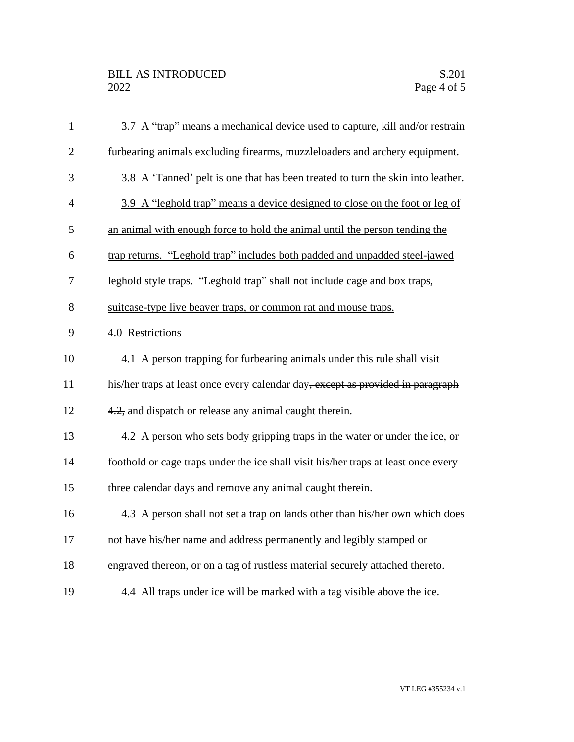## BILL AS INTRODUCED<br>2022 Page 4 of 5

| $\mathbf{1}$   | 3.7 A "trap" means a mechanical device used to capture, kill and/or restrain       |
|----------------|------------------------------------------------------------------------------------|
| $\overline{2}$ | furbearing animals excluding firearms, muzzleloaders and archery equipment.        |
| 3              | 3.8 A 'Tanned' pelt is one that has been treated to turn the skin into leather.    |
| $\overline{4}$ | 3.9 A "leghold trap" means a device designed to close on the foot or leg of        |
| 5              | an animal with enough force to hold the animal until the person tending the        |
| 6              | trap returns. "Leghold trap" includes both padded and unpadded steel-jawed         |
| $\tau$         | leghold style traps. "Leghold trap" shall not include cage and box traps,          |
| 8              | suitcase-type live beaver traps, or common rat and mouse traps.                    |
| 9              | 4.0 Restrictions                                                                   |
| 10             | 4.1 A person trapping for furbearing animals under this rule shall visit           |
| 11             | his/her traps at least once every calendar day, except as provided in paragraph    |
| 12             | 4.2, and dispatch or release any animal caught therein.                            |
| 13             | 4.2 A person who sets body gripping traps in the water or under the ice, or        |
| 14             | foothold or cage traps under the ice shall visit his/her traps at least once every |
| 15             | three calendar days and remove any animal caught therein.                          |
| 16             | 4.3 A person shall not set a trap on lands other than his/her own which does       |
| 17             | not have his/her name and address permanently and legibly stamped or               |
| 18             | engraved thereon, or on a tag of rustless material securely attached thereto.      |
| 19             | 4.4 All traps under ice will be marked with a tag visible above the ice.           |